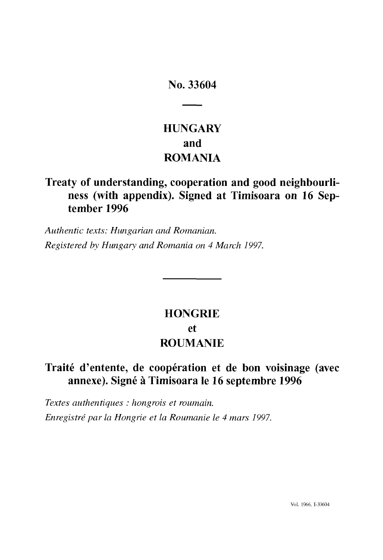# **No. 33604**

# **HUNGARY and ROMANIA**

# **Treaty of understanding, cooperation and good neighbourliness (with appendix). Signed at Timisoara on 16 Sep tember 1996**

*Authentic texts: Hungarian and Romanian. Registered by Hungary and Romania on 4 March 1997.*

# **HONGRIE et ROUMANIE**

# **Traité d'entente, de coopération et de bon voisinage (avec annexe). Signé à Timisoara le 16 septembre 1996**

*Textes authentiques : hongrois et roumain. Enregistré par la Hongrie et la Roumanie le 4 mars 1997.*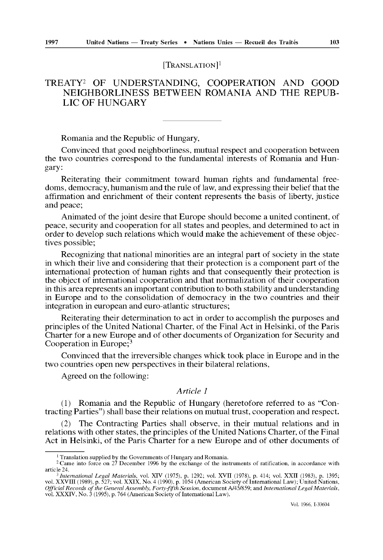## [TRANSLATION] *l*

# TREATY2 OF UNDERSTANDING, COOPERATION AND GOOD NEIGHBORLINESS BETWEEN ROMANIA AND THE REPUB LIC OF HUNGARY

Romania and the Republic of Hungary,

Convinced that good neighborliness, mutual respect and cooperation between the two countries correspond to the fundamental interests of Romania and Hun gary:

Reiterating their commitment toward human rights and fundamental free doms, democracy, humanism and the rule of law, and expressing their belief that the affirmation and enrichment of their content represents the basis of liberty, justice and peace;

Animated of the joint desire that Europe should become a united continent, of peace, security and cooperation for all states and peoples, and determined to act in order to develop such relations which would make the achievement of these objec tives possible;

Recognizing that national minorities are an integral part of society in the state in which their live and considering that their protection is a component part of the international protection of human rights and that consequently their protection is the object of international cooperation and that normalization of their cooperation in this area represents an important contribution to both stability and understanding in Europe and to the consolidation of democracy in the two countries and their integration in european and euro-atlantic structures;

Reiterating their determination to act in order to accomplish the purposes and principles of the United National Charter, of the Final Act in Helsinki, of the Paris Charter for a new Europe and of other documents of Organization for Security and Cooperation in Europe; $3$ 

Convinced that the irreversible changes whick took place in Europe and in the two countries open new perspectives in their bilateral relations,

Agreed on the following:

#### *Article 1*

(1) Romania and the Republic of Hungary (heretofore referred to as "Con tracting Parties") shall base their relations on mutual trust, cooperation and respect.

(2) The Contracting Parties shall observe, in their mutual relations and in relations with other states, the principles of the United Nations Charter, of the Final Act in Helsinki, of the Paris Charter for a new Europe and of other documents of

<sup>&</sup>lt;sup>1</sup> Translation supplied by the Governments of Hungary and Romania.<br><sup>2</sup> Came into force on 27 December 1996 by the exchange of the instruments of ratification, in accordance with article 24.

<sup>&</sup>lt;sup>3</sup> International Legal Materials, vol. XIV (1975), p. 1292; vol. XVII (1978), p. 414; vol. XXII (1983), p. 1395; vol. XXVIII (1989), p. 527; vol. XXIX, No. 4 (1990), p. 1054 (American Society of International Law); United vol. XXXIV, No. 3 (1995), p. 764 (American Society of International Law).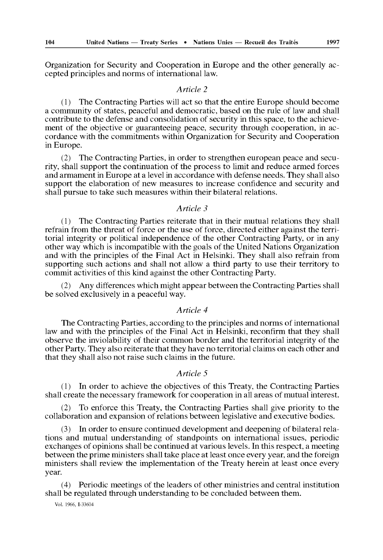Organization for Security and Cooperation in Europe and the other generally accepted principles and norms of international law.

#### *Article 2*

( 1 ) The Contracting Parties will act so that the entire Europe should become a community of states, peaceful and democratic, based on the rule of law and shall contribute to the defense and consolidation of security in this space, to the achieve ment of the objective or guaranteeing peace, security through cooperation, in ac cordance with the commitments within Organization for Security and Cooperation in Europe.

(2) The Contracting Parties, in order to strengthen european peace and secu rity, shall support the continuation of the process to limit and reduce armed forces and armament in Europe at a level in accordance with defense needs. They shall also support the elaboration of new measures to increase confidence and security and shall pursue to take such measures within their bilateral relations.

#### *Article 3*

( 1 ) The Contracting Parties reiterate that in their mutual relations they shall refrain from the threat of force or the use of force, directed either against the terri torial integrity or political independence of the other Contracting Party, or in any other way which is incompatible with the goals of the United Nations Organization and with the principles of the Final Act in Helsinki. They shall also refrain from supporting such actions and shall not allow a third party to use their territory to commit activities of this kind against the other Contracting Party.

(2) Any differences which might appear between the Contracting Parties shall be solved exclusively in a peaceful way.

## *Article 4*

The Contracting Parties, according to the principles and norms of international law and with the principles of the Final Act in Helsinki, reconfirm that they shall observe the inviolability of their common border and the territorial integrity of the other Party. They also reiterate that they have no territorial claims on each other and that they shall also not raise such claims in the future.

#### *Article 5*

(1) In order to achieve the objectives of this Treaty, the Contracting Parties shall create the necessary framework for cooperation in all areas of mutual interest.

(2) To enforce this Treaty, the Contracting Parties shall give priority to the collaboration and expansion of relations between legislative and executive bodies.

(3) In order to ensure continued development and deepening of bilateral rela tions and mutual understanding of standpoints on international issues, periodic exchanges of opinions shall be continued at various levels. In this respect, a meeting between the prime ministers shall take place at least once every year, and the foreign ministers shall review the implementation of the Treaty herein at least once every year.

(4) Periodic meetings of the leaders of other ministries and central institution shall be regulated through understanding to be concluded between them.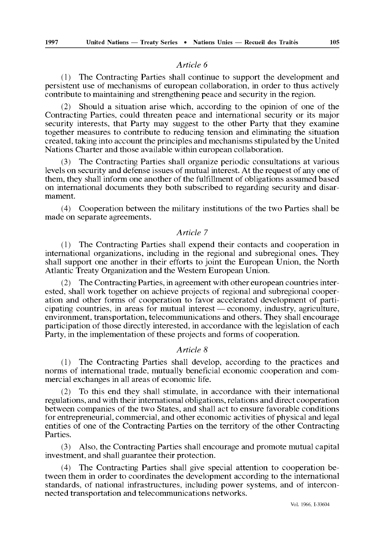#### *Article 6*

(1) The Contracting Parties shall continue to support the development and persistent use of mechanisms of european collaboration, in order to thus actively contribute to maintaining and strengthening peace and security in the region.

(2) Should a situation arise which, according to the opinion of one of the Contracting Parties, could threaten peace and international security or its major security interests, that Party may suggest to the other Party that they examine together measures to contribute to reducing tension and eliminating the situation created, taking into account the principles and mechanisms stipulated by the United Nations Charter and those available within european collaboration.

(3) The Contracting Parties shall organize periodic consultations at various levels on security and defense issues of mutual interest. At the request of any one of them, they shall inform one another of the fulfillment of obligations assumed based on international documents they both subscribed to regarding security and disar mament.

(4) Cooperation between the military institutions of the two Parties shall be made on separate agreements.

## *Article 7*

(1) The Contracting Parties shall expend their contacts and cooperation in international organizations, including in the regional and subregional ones. They shall support one another in their efforts to joint the European Union, the North Atlantic Treaty Organization and the Western European Union.

(2) The Contracting Parties, in agreement with other european countries inter ested, shall work together on achieve projects of regional and subregional cooper ation and other forms of cooperation to favor accelerated development of parti cipating countries, in areas for mutual interest — economy, industry, agriculture, environment, transportation, telecommunications and others. They shall encourage participation of those directly interested, in accordance with the legislation of each Party, in the implementation of these projects and forms of cooperation.

#### *Article 8*

(1) The Contracting Parties shall develop, according to the practices and norms of international trade, mutually beneficial economic cooperation and com mercial exchanges in all areas of economic life.

(2) To this end they shall stimulate, in accordance with their international regulations, and with their international obligations, relations and direct cooperation between companies of the two States, and shall act to ensure favorable conditions for entrepreneurial, commercial, and other economic activities of physical and legal entities of one of the Contracting Parties on the territory of the other Contracting Parties.

(3) Also, the Contracting Parties shall encourage and promote mutual capital investment, and shall guarantee their protection.

(4) The Contracting Parties shall give special attention to cooperation be tween them in order to coordinates the development according to the international standards, of national infrastructures, including power systems, and of intercon nected transportation and telecommunications networks.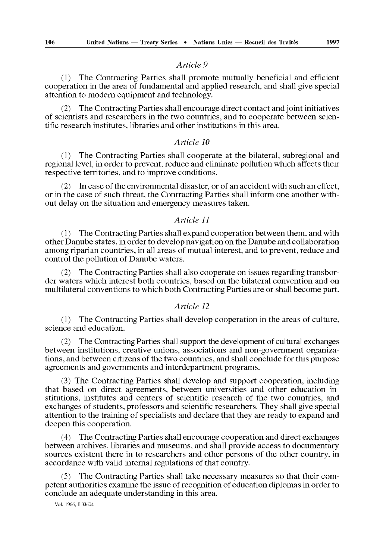#### *Article 9*

(1) The Contracting Parties shall promote mutually beneficial and efficient cooperation in the area of fundamental and applied research, and shall give special attention to modern equipment and technology.

(2) The Contracting Parties shall encourage direct contact and joint initiatives of scientists and researchers in the two countries, and to cooperate between scien tific research institutes, libraries and other institutions in this area.

### *Article 10*

(1) The Contracting Parties shall cooperate at the bilateral, subregional and regional level, in order to prevent, reduce and eliminate pollution which affects their respective territories, and to improve conditions.

(2) In case of the environmental disaster, or of an accident with such an effect, or in the case of such threat, the Contracting Parties shall inform one another with out delay on the situation and emergency measures taken.

#### *Article 11*

 $(1)$  The Contracting Parties shall expand cooperation between them, and with other Danube states, in order to develop navigation on the Danube and collaboration among riparian countries, in all areas of mutual interest, and to prevent, reduce and control the pollution of Danube waters.

(2) The Contracting Parties shall also cooperate on issues regarding transbor der waters which interest both countries, based on the bilateral convention and on multilateral conventions to which both Contracting Parties are or shall become part.

#### *Article 12*

(1) The Contracting Parties shall develop cooperation in the areas of culture, science and education.

(2) The Contracting Parties shall support the development of cultural exchanges between institutions, creative unions, associations and non-government organiza tions, and between citizens of the two countries, and shall conclude for this purpose agreements and governments and interdepartment programs.

(3) The Contracting Parties shall develop and support cooperation, including that based on direct agreements, between universities and other education in stitutions, institutes and centers of scientific research of the two countries, and exchanges of students, professors and scientific researchers. They shall give special attention to the training of specialists and declare that they are ready to expand and deepen this cooperation.

(4) The Contracting Parties shall encourage cooperation and direct exchanges between archives, libraries and museums, and shall provide access to documentary sources existent there in to researchers and other persons of the other country, in accordance with valid internal regulations of that country.

(5) The Contracting Parties shall take necessary measures so that their com petent authorities examine the issue of recognition of education diplomas in order to conclude an adequate understanding in this area.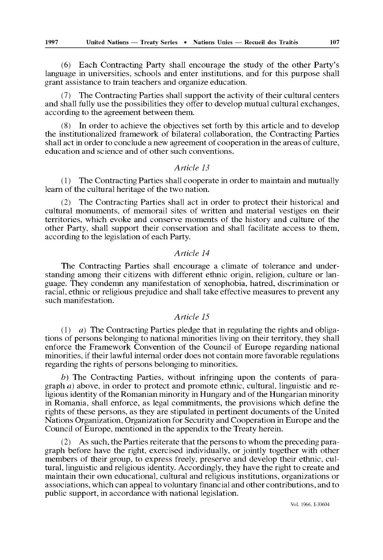(6) Each Contracting Party shall encourage the study of the other Party's language in universities, schools and enter institutions, and for this purpose shall grant assistance to train teachers and organize education.

(7) The Contracting Parties shall support the activity of their cultural centers and shall fully use the possibilities they offer to develop mutual cultural exchanges, according to the agreement between them.

(8) In order to achieve the objectives set forth by this article and to develop the institutionalized framework of bilateral collaboration, the Contracting Parties shall act in order to conclude a new agreement of cooperation in the areas of culture, education and science and of other such conventions.

#### *Article 13*

(1) The Contracting Parties shall cooperate in order to maintain and mutually learn of the cultural heritage of the two nation.

(2) The Contracting Parties shall act in order to protect their historical and cultural monuments, of memorail sites of written and material vestiges on their territories, which evoke and conserve moments of the history and culture of the other Party, shall support their conservation and shall facilitate access to them, according to the legislation of each Party.

#### *Article 14*

The Contracting Parties shall encourage a climate of tolerance and under standing among their citizens with different ethnic origin, religion, culture or lan guage. They condemn any manifestation of xenophobia, hatred, discrimination or racial, ethnic or religious prejudice and shall take effective measures to prevent any such manifestation.

#### *Article 15*

(1)  $a)$  The Contracting Parties pledge that in regulating the rights and obligations of persons belonging to national minorities living on their territory, they shall enforce the Framework Convention of the Council of Europe regarding national minorities, if their lawful internal order does not contain more favorable regulations regarding the rights of persons belonging to minorities.

*b)* The Contracting Parties, without infringing upon the contents of para graph *a)* above, in order to protect and promote ethnic, cultural, linguistic and re ligious identity of the Romanian minority in Hungary and of the Hungarian minority in Romania, shall enforce, as legal commitments, the provisions which define the rights of these persons, as they are stipulated in pertinent documents of the United Nations Organization, Organization for Security and Cooperation in Europe and the Council of Europe, mentioned in the appendix to the Treaty herein.

(2) As such, the Parties reiterate that the persons to whom the preceding para graph before have the right, exercised individually, or jointly together with other members of their group, to express freely, preserve and develop their ethnic, cul tural, linguistic and religious identity. Accordingly, they have the right to create and maintain their own educational, cultural and religious institutions, organizations or associations, which can appeal to voluntary financial and other contributions, and to public support, in accordance with national legislation.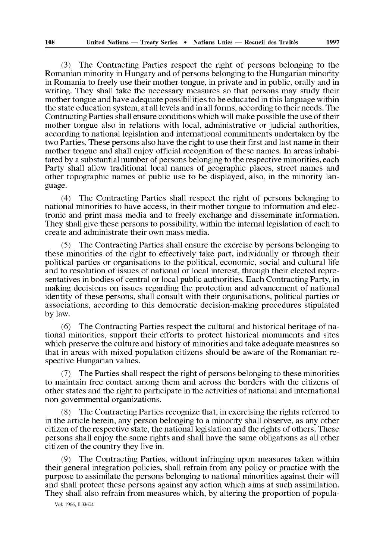(3) The Contracting Parties respect the right of persons belonging to the Romanian minority in Hungary and of persons belonging to the Hungarian minority in Romania to freely use their mother tongue, in private and in public, orally and in writing. They shall take the necessary measures so that persons may study their mother tongue and have adequate possibilities to be educated in this language within the state education system, at all levels and in all forms, according to their needs. The Contracting Parties shall ensure conditions which will make possible the use of their mother tongue also in relations with local, administrative or judicial authorities, according to national legislation and international commitments undertaken by the two Parties. These persons also have the right to use their first and last name in their mother tongue and shall enjoy official recognition of these names. In areas inhabitated by a substantial number of persons belonging to the respective minorities, each Party shall allow traditional local names of geographic places, street names and other topographic names of public use to be displayed, also, in the minority lan guage.

(4) The Contracting Parties shall respect the right of persons belonging to national minorities to have access, in their mother tongue to information and elec tronic and print mass media and to freely exchange and disseminate information. They shall give these persons to possibility, within the internal legislation of each to create and administrate their own mass media.

(5) The Contracting Parties shall ensure the exercise by persons belonging to these minorities of the right to effectively take part, individually or through their political parties or organisations to the political, economic, social and cultural life and to resolution of issues of national or local interest, through their elected repre sentatives in bodies of central or local public authorities. Each Contracting Party, in making decisions on issues regarding the protection and advancement of national identity of these persons, shall consult with their organisations, political parties or associations, according to this democratic decision-making procedures stipulated by law.

(6) The Contracting Parties respect the cultural and historical heritage of na tional minorities, support their efforts to protect historical monuments and sites which preserve the culture and history of minorities and take adequate measures so that in areas with mixed population citizens should be aware of the Romanian re spective Hungarian values.

(7) The Parties shall respect the right of persons belonging to these minorities to maintain free contact among them and across the borders with the citizens of other states and the right to participate in the activities of national and international non-governmental organizations.

(8) The Contracting Parties recognize that, in exercising the rights referred to in the article herein, any person belonging to a minority shall observe, as any other citizen of the respective state, the national legislation and the rights of others. These persons shall enjoy the same rights and shall have the same obligations as all other citizen of the country they live in.

(9) The Contracting Parties, without infringing upon measures taken within their general integration policies, shall refrain from any policy or practice with the purpose to assimilate the persons belonging to national minorities against their will and shall protect these persons against any action which aims at such assimilation. They shall also refrain from measures which, by altering the proportion of popula-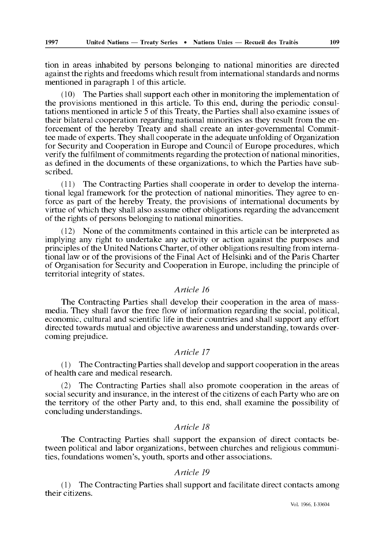tion in areas inhabited by persons belonging to national minorities are directed against the rights and freedoms which result from international standards and norms mentioned in paragraph 1 of this article.

(10) The Parties shall support each other in monitoring the implementation of the provisions mentioned in this article. To this end, during the periodic consul tations mentioned in article 5 of this Treaty, the Parties shall also examine issues of their bilateral cooperation regarding national minorities as they result from the en forcement of the hereby Treaty and shall create an inter-governmental Commit tee made of experts. They shall cooperate in the adequate unfolding of Organization for Security and Cooperation in Europe and Council of Europe procedures, which verify the fulfilment of commitments regarding the protection of national minorities, as defined in the documents of these organizations, to which the Parties have sub scribed.

(11) The Contracting Parties shall cooperate in order to develop the interna tional legal framework for the protection of national minorities. They agree to en force as part of the hereby Treaty, the provisions of international documents by virtue of which they shall also assume other obligations regarding the advancement of the rights of persons belonging to national minorities.

(12) None of the commitments contained in this article can be interpreted as implying any right to undertake any activity or action against the purposes and principles of the United Nations Charter, of other obligations resulting from interna tional law or of the provisions of the Final Act of Helsinki and of the Paris Charter of Organisation for Security and Cooperation in Europe, including the principle of territorial integrity of states.

#### *Article 16*

The Contracting Parties shall develop their cooperation in the area of massmedia. They shall favor the free flow of information regarding the social, political, economic, cultural and scientific life in their countries and shall support any effort directed towards mutual and objective awareness and understanding, towards over coming prejudice.

#### *Article 17*

*(* 1 ) The Contracting Parties shall develop and support cooperation in the areas of health care and medical research.

(2) The Contracting Parties shall also promote cooperation in the areas of social security and insurance, in the interest of the citizens of each Party who are on the territory of the other Party and, to this end, shall examine the possibility of concluding understandings.

#### *Article 18*

The Contracting Parties shall support the expansion of direct contacts be tween political and labor organizations, between churches and religious communi ties, foundations women's, youth, sports and other associations.

### *Article 19*

(1) The Contracting Parties shall support and facilitate direct contacts among their citizens.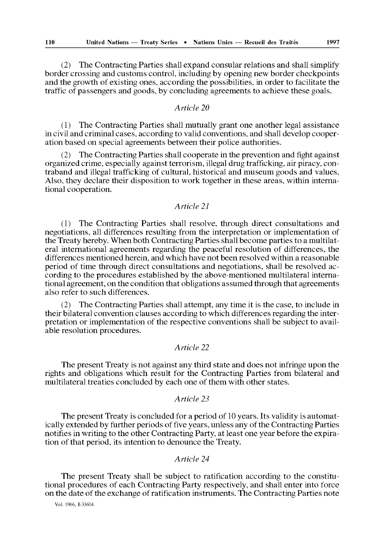(2) The Contracting Parties shall expand consular relations and shall simplify border crossing and customs control, including by opening new border checkpoints and the growth of existing ones, according the possibilities, in order to facilitate the traffic of passengers and goods, by concluding agreements to achieve these goals.

## *Article 20*

(1) The Contracting Parties shall mutually grant one another legal assistance in civil and criminal cases, according to valid conventions, and shall develop cooper ation based on special agreements between their police authorities.

(2) The Contracting Parties shall cooperate in the prevention and fight against organized crime, especially against terrorism, illegal drug trafficking, air piracy, con traband and illegal trafficking of cultural, historical and museum goods and values. Also, they declare their disposition to work together in these areas, within interna tional cooperation.

#### *Article 21*

(1) The Contracting Parties shall resolve, through direct consultations and negotiations, all differences resulting from the interpretation or implementation of the Treaty hereby. When both Contracting Parties shall become parties to a multilat eral international agreements regarding the peaceful resolution of differences, the differences mentioned herein, and which have not been resolved within a reasonable period of time through direct consultations and negotiations, shall be resolved ac cording to the procedures established by the above-mentioned multilateral interna tional agreement, on the condition that obligations assumed through that agreements also refer to such differences.

(2) The Contracting Parties shall attempt, any time it is the case, to include in their bilateral convention clauses according to which differences regarding the inter pretation or implementation of the respective conventions shall be subject to avail able resolution procedures.

# *Article 22*

The present Treaty is not against any third state and does not infringe upon the rights and obligations which result for the Contracting Parties from bilateral and multilateral treaties concluded by each one of them with other states.

#### *Article 23*

The present Treaty is concluded for a period of 10 years. Its validity is automat ically extended by further periods of five years, unless any of the Contracting Parties notifies in writing to the other Contracting Party, at least one year before the expira tion of that period, its intention to denounce the Treaty.

## *Article 24*

The present Treaty shall be subject to ratification according to the constitu tional procedures of each Contracting Party respectively, and shall enter into force on the date of the exchange of ratification instruments. The Contracting Parties note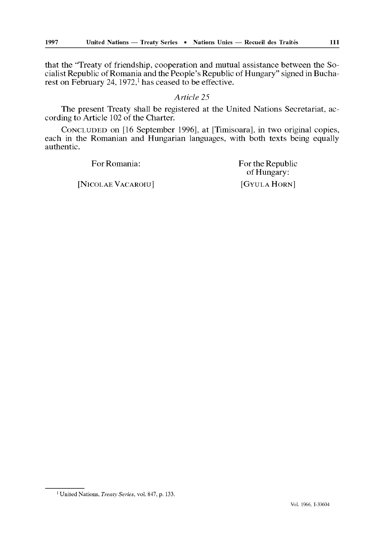that the "Treaty of friendship, cooperation and mutual assistance between the So cialist Republic of Romania and the People's Republic of Hungary" signed in Bucha rest on February 24,  $1972$ ,<sup>1</sup> has ceased to be effective.

#### *Article 25*

The present Treaty shall be registered at the United Nations Secretariat, ac cording to Article 102 of the Charter.

CONCLUDED on [16 September 1996], at [Timisoara], in two original copies, each in the Romanian and Hungarian languages, with both texts being equally authentic.

1 United Nations, *Treaty Series,* vol. 847, p. 133.

For Romania: For the Republic of Hungary: [NICOLAE VACAROIU] [GYULA HORN]